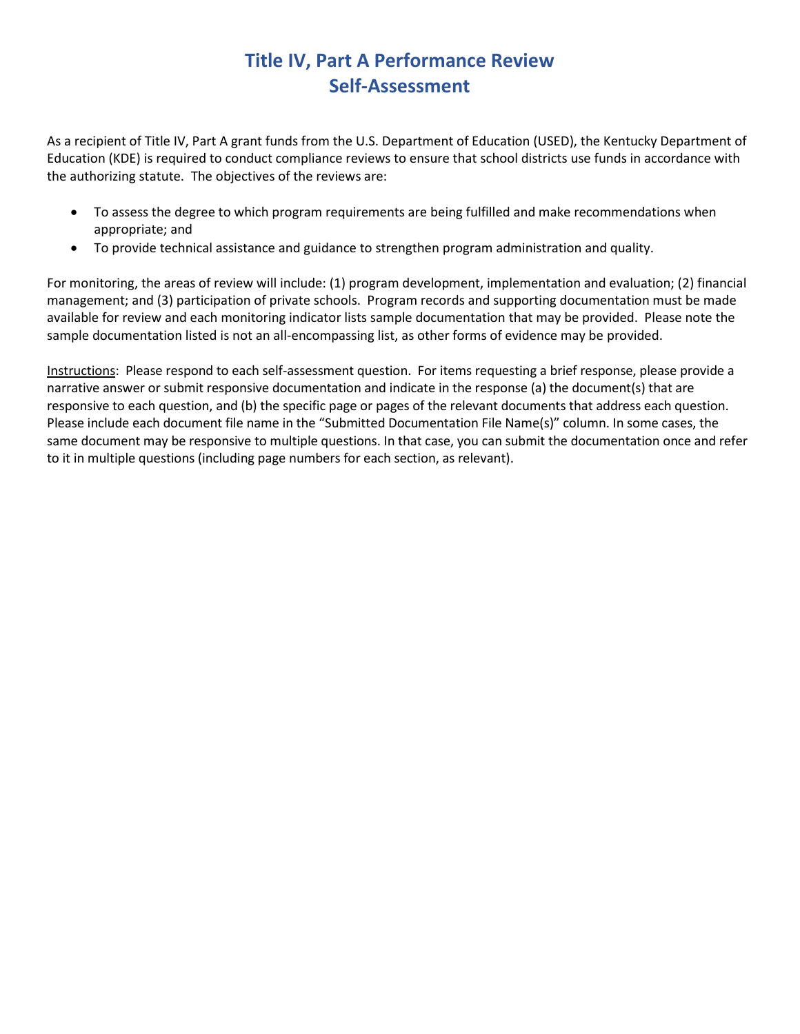## **Title IV, Part A Performance Review Self-Assessment**

As a recipient of Title IV, Part A grant funds from the U.S. Department of Education (USED), the Kentucky Department of Education (KDE) is required to conduct compliance reviews to ensure that school districts use funds in accordance with the authorizing statute. The objectives of the reviews are:

- To assess the degree to which program requirements are being fulfilled and make recommendations when appropriate; and
- To provide technical assistance and guidance to strengthen program administration and quality.

For monitoring, the areas of review will include: (1) program development, implementation and evaluation; (2) financial management; and (3) participation of private schools. Program records and supporting documentation must be made available for review and each monitoring indicator lists sample documentation that may be provided. Please note the sample documentation listed is not an all-encompassing list, as other forms of evidence may be provided.

Instructions: Please respond to each self-assessment question. For items requesting a brief response, please provide a narrative answer or submit responsive documentation and indicate in the response (a) the document(s) that are responsive to each question, and (b) the specific page or pages of the relevant documents that address each question. Please include each document file name in the "Submitted Documentation File Name(s)" column. In some cases, the same document may be responsive to multiple questions. In that case, you can submit the documentation once and refer to it in multiple questions (including page numbers for each section, as relevant).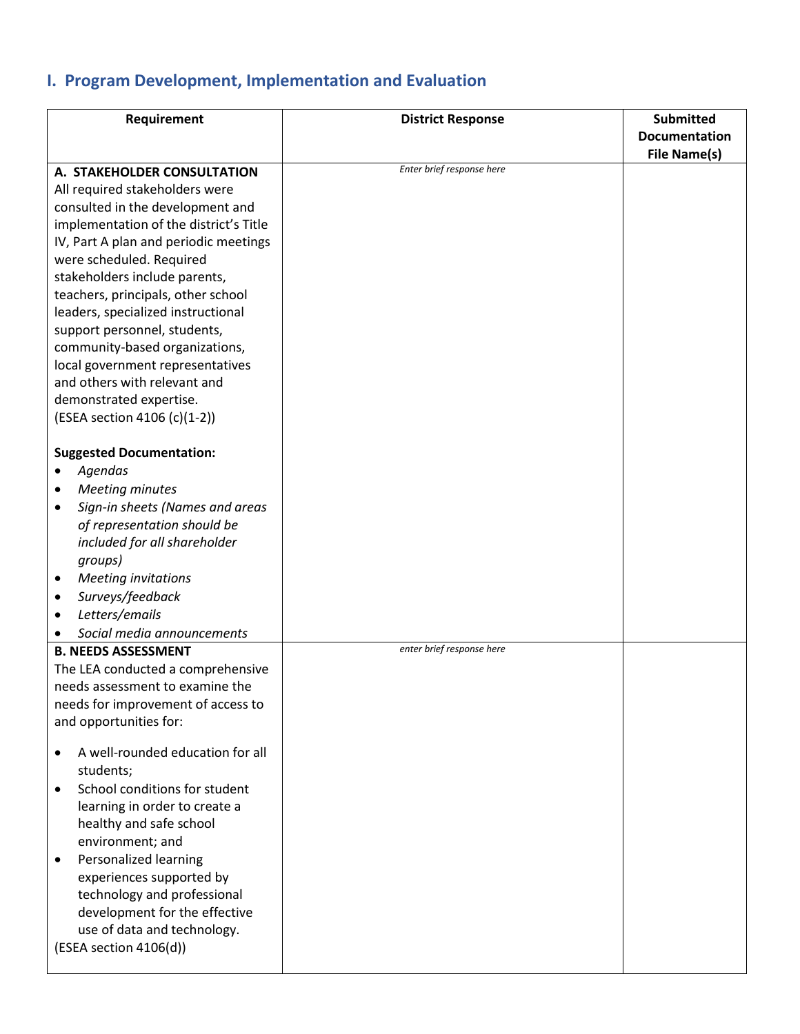## **I. Program Development, Implementation and Evaluation**

| Requirement                                   | <b>District Response</b>  | <b>Submitted</b>     |
|-----------------------------------------------|---------------------------|----------------------|
|                                               |                           | <b>Documentation</b> |
|                                               |                           | <b>File Name(s)</b>  |
| A. STAKEHOLDER CONSULTATION                   | Enter brief response here |                      |
| All required stakeholders were                |                           |                      |
| consulted in the development and              |                           |                      |
| implementation of the district's Title        |                           |                      |
| IV, Part A plan and periodic meetings         |                           |                      |
| were scheduled. Required                      |                           |                      |
| stakeholders include parents,                 |                           |                      |
| teachers, principals, other school            |                           |                      |
| leaders, specialized instructional            |                           |                      |
| support personnel, students,                  |                           |                      |
| community-based organizations,                |                           |                      |
| local government representatives              |                           |                      |
| and others with relevant and                  |                           |                      |
| demonstrated expertise.                       |                           |                      |
| (ESEA section 4106 (c)(1-2))                  |                           |                      |
|                                               |                           |                      |
| <b>Suggested Documentation:</b>               |                           |                      |
| Agendas<br>٠                                  |                           |                      |
| <b>Meeting minutes</b><br>٠                   |                           |                      |
| Sign-in sheets (Names and areas<br>$\bullet$  |                           |                      |
| of representation should be                   |                           |                      |
| included for all shareholder                  |                           |                      |
| groups)                                       |                           |                      |
| <b>Meeting invitations</b><br>٠               |                           |                      |
| Surveys/feedback<br>$\bullet$                 |                           |                      |
| Letters/emails<br>٠                           |                           |                      |
| Social media announcements                    |                           |                      |
| <b>B. NEEDS ASSESSMENT</b>                    | enter brief response here |                      |
| The LEA conducted a comprehensive             |                           |                      |
| needs assessment to examine the               |                           |                      |
| needs for improvement of access to            |                           |                      |
| and opportunities for:                        |                           |                      |
|                                               |                           |                      |
| A well-rounded education for all<br>$\bullet$ |                           |                      |
| students;                                     |                           |                      |
| School conditions for student                 |                           |                      |
| learning in order to create a                 |                           |                      |
| healthy and safe school                       |                           |                      |
| environment; and                              |                           |                      |
| Personalized learning<br>٠                    |                           |                      |
| experiences supported by                      |                           |                      |
| technology and professional                   |                           |                      |
| development for the effective                 |                           |                      |
| use of data and technology.                   |                           |                      |
| (ESEA section 4106(d))                        |                           |                      |
|                                               |                           |                      |
|                                               |                           |                      |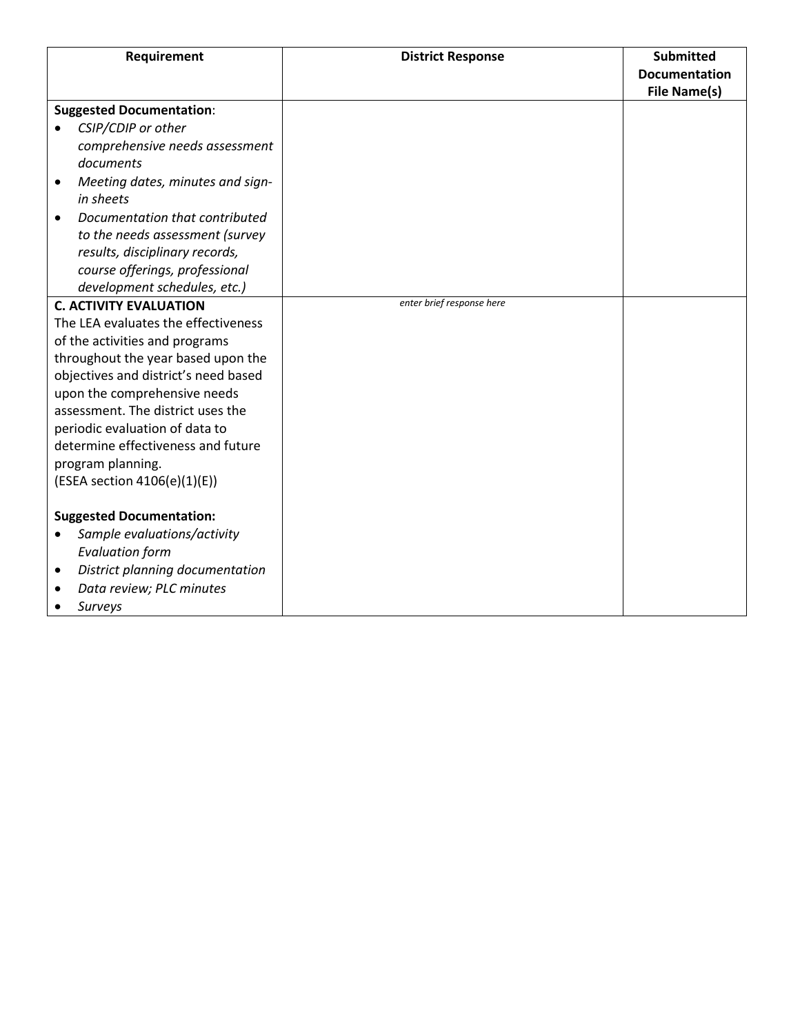| Requirement                                   | <b>District Response</b>  | <b>Submitted</b><br><b>Documentation</b> |
|-----------------------------------------------|---------------------------|------------------------------------------|
|                                               |                           | File Name(s)                             |
| <b>Suggested Documentation:</b>               |                           |                                          |
| CSIP/CDIP or other                            |                           |                                          |
| comprehensive needs assessment                |                           |                                          |
| documents                                     |                           |                                          |
| Meeting dates, minutes and sign-<br>$\bullet$ |                           |                                          |
| in sheets                                     |                           |                                          |
| Documentation that contributed                |                           |                                          |
| to the needs assessment (survey               |                           |                                          |
| results, disciplinary records,                |                           |                                          |
| course offerings, professional                |                           |                                          |
| development schedules, etc.)                  |                           |                                          |
| <b>C. ACTIVITY EVALUATION</b>                 | enter brief response here |                                          |
| The LEA evaluates the effectiveness           |                           |                                          |
| of the activities and programs                |                           |                                          |
| throughout the year based upon the            |                           |                                          |
| objectives and district's need based          |                           |                                          |
| upon the comprehensive needs                  |                           |                                          |
| assessment. The district uses the             |                           |                                          |
| periodic evaluation of data to                |                           |                                          |
| determine effectiveness and future            |                           |                                          |
| program planning.                             |                           |                                          |
| (ESEA section 4106(e)(1)(E))                  |                           |                                          |
| <b>Suggested Documentation:</b>               |                           |                                          |
| Sample evaluations/activity<br>$\bullet$      |                           |                                          |
| <b>Evaluation form</b>                        |                           |                                          |
| District planning documentation<br>٠          |                           |                                          |
| Data review; PLC minutes                      |                           |                                          |
| Surveys                                       |                           |                                          |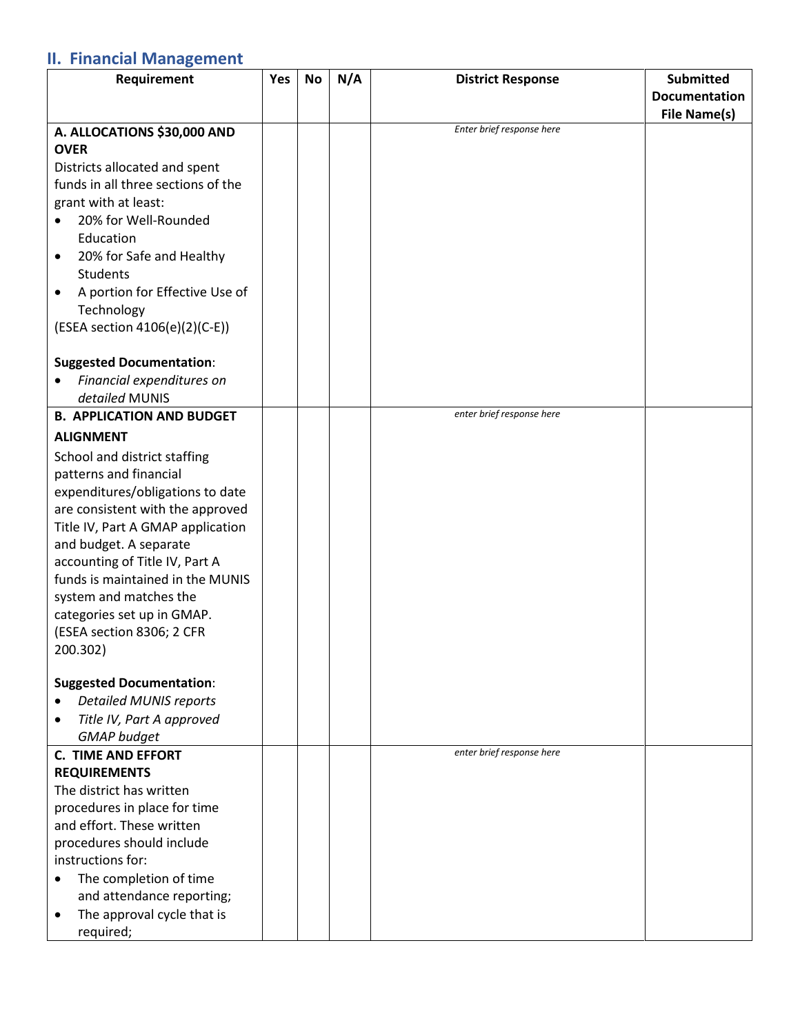## **II. Financial Management**

| Requirement                                 | Yes | No | N/A | <b>District Response</b>  | <b>Submitted</b>     |
|---------------------------------------------|-----|----|-----|---------------------------|----------------------|
|                                             |     |    |     |                           | <b>Documentation</b> |
|                                             |     |    |     |                           | <b>File Name(s)</b>  |
| A. ALLOCATIONS \$30,000 AND                 |     |    |     | Enter brief response here |                      |
| <b>OVER</b>                                 |     |    |     |                           |                      |
| Districts allocated and spent               |     |    |     |                           |                      |
| funds in all three sections of the          |     |    |     |                           |                      |
| grant with at least:                        |     |    |     |                           |                      |
| 20% for Well-Rounded<br>$\bullet$           |     |    |     |                           |                      |
| Education                                   |     |    |     |                           |                      |
| 20% for Safe and Healthy<br>$\bullet$       |     |    |     |                           |                      |
| <b>Students</b>                             |     |    |     |                           |                      |
| A portion for Effective Use of<br>$\bullet$ |     |    |     |                           |                      |
| Technology                                  |     |    |     |                           |                      |
| (ESEA section 4106(e)(2)(C-E))              |     |    |     |                           |                      |
|                                             |     |    |     |                           |                      |
| <b>Suggested Documentation:</b>             |     |    |     |                           |                      |
| Financial expenditures on                   |     |    |     |                           |                      |
| detailed MUNIS                              |     |    |     |                           |                      |
| <b>B. APPLICATION AND BUDGET</b>            |     |    |     | enter brief response here |                      |
| <b>ALIGNMENT</b>                            |     |    |     |                           |                      |
| School and district staffing                |     |    |     |                           |                      |
| patterns and financial                      |     |    |     |                           |                      |
| expenditures/obligations to date            |     |    |     |                           |                      |
| are consistent with the approved            |     |    |     |                           |                      |
| Title IV, Part A GMAP application           |     |    |     |                           |                      |
| and budget. A separate                      |     |    |     |                           |                      |
| accounting of Title IV, Part A              |     |    |     |                           |                      |
| funds is maintained in the MUNIS            |     |    |     |                           |                      |
| system and matches the                      |     |    |     |                           |                      |
| categories set up in GMAP.                  |     |    |     |                           |                      |
|                                             |     |    |     |                           |                      |
| (ESEA section 8306; 2 CFR                   |     |    |     |                           |                      |
| 200.302)                                    |     |    |     |                           |                      |
| <b>Suggested Documentation:</b>             |     |    |     |                           |                      |
| <b>Detailed MUNIS reports</b><br>$\bullet$  |     |    |     |                           |                      |
| Title IV, Part A approved                   |     |    |     |                           |                      |
| <b>GMAP</b> budget                          |     |    |     |                           |                      |
| <b>C. TIME AND EFFORT</b>                   |     |    |     | enter brief response here |                      |
| <b>REQUIREMENTS</b>                         |     |    |     |                           |                      |
| The district has written                    |     |    |     |                           |                      |
| procedures in place for time                |     |    |     |                           |                      |
| and effort. These written                   |     |    |     |                           |                      |
| procedures should include                   |     |    |     |                           |                      |
| instructions for:                           |     |    |     |                           |                      |
| The completion of time                      |     |    |     |                           |                      |
|                                             |     |    |     |                           |                      |
| and attendance reporting;                   |     |    |     |                           |                      |
| The approval cycle that is                  |     |    |     |                           |                      |
| required;                                   |     |    |     |                           |                      |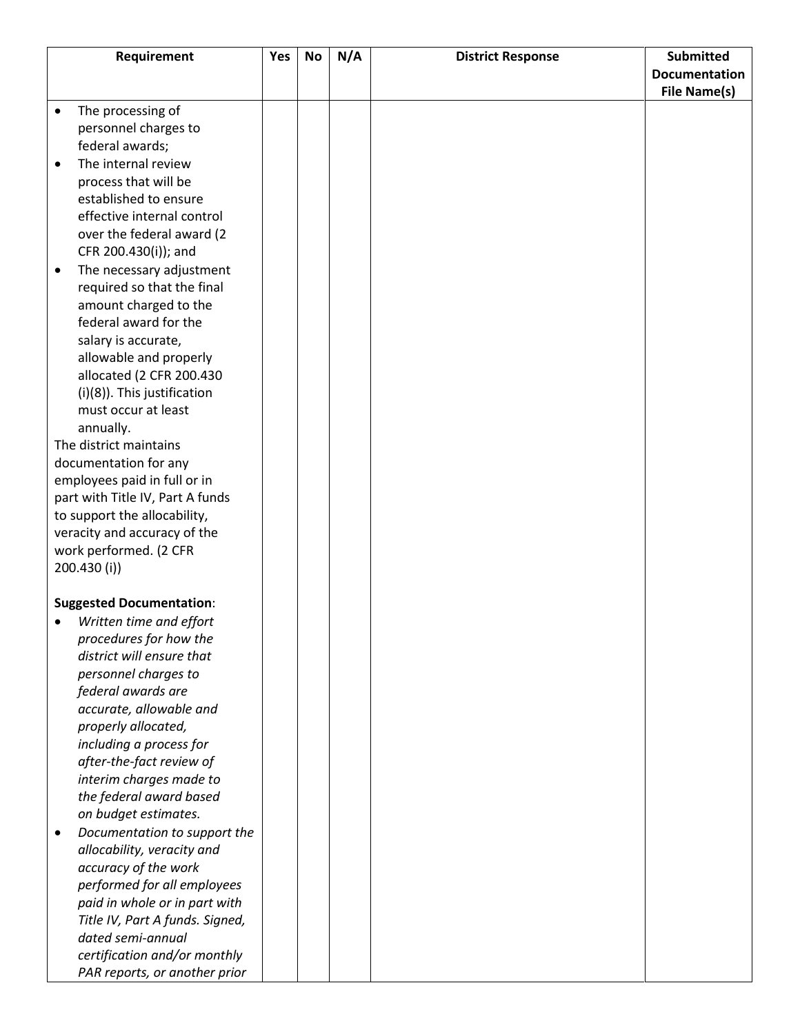|           | Requirement                                          | Yes | <b>No</b> | N/A | <b>District Response</b> | <b>Submitted</b>     |
|-----------|------------------------------------------------------|-----|-----------|-----|--------------------------|----------------------|
|           |                                                      |     |           |     |                          | <b>Documentation</b> |
|           |                                                      |     |           |     |                          | <b>File Name(s)</b>  |
| $\bullet$ | The processing of                                    |     |           |     |                          |                      |
|           | personnel charges to                                 |     |           |     |                          |                      |
|           | federal awards;                                      |     |           |     |                          |                      |
| $\bullet$ | The internal review                                  |     |           |     |                          |                      |
|           | process that will be                                 |     |           |     |                          |                      |
|           | established to ensure                                |     |           |     |                          |                      |
|           | effective internal control                           |     |           |     |                          |                      |
|           | over the federal award (2                            |     |           |     |                          |                      |
|           | CFR 200.430(i)); and                                 |     |           |     |                          |                      |
| ٠         | The necessary adjustment                             |     |           |     |                          |                      |
|           | required so that the final                           |     |           |     |                          |                      |
|           | amount charged to the                                |     |           |     |                          |                      |
|           | federal award for the                                |     |           |     |                          |                      |
|           | salary is accurate,                                  |     |           |     |                          |                      |
|           | allowable and properly                               |     |           |     |                          |                      |
|           | allocated (2 CFR 200.430                             |     |           |     |                          |                      |
|           | (i)(8)). This justification                          |     |           |     |                          |                      |
|           | must occur at least                                  |     |           |     |                          |                      |
|           | annually.                                            |     |           |     |                          |                      |
|           | The district maintains                               |     |           |     |                          |                      |
|           | documentation for any                                |     |           |     |                          |                      |
|           | employees paid in full or in                         |     |           |     |                          |                      |
|           | part with Title IV, Part A funds                     |     |           |     |                          |                      |
|           | to support the allocability,                         |     |           |     |                          |                      |
|           | veracity and accuracy of the                         |     |           |     |                          |                      |
|           | work performed. (2 CFR                               |     |           |     |                          |                      |
|           | 200.430 (i))                                         |     |           |     |                          |                      |
|           |                                                      |     |           |     |                          |                      |
|           | <b>Suggested Documentation:</b>                      |     |           |     |                          |                      |
|           | Written time and effort                              |     |           |     |                          |                      |
|           | procedures for how the                               |     |           |     |                          |                      |
|           | district will ensure that                            |     |           |     |                          |                      |
|           | personnel charges to                                 |     |           |     |                          |                      |
|           | federal awards are                                   |     |           |     |                          |                      |
|           | accurate, allowable and                              |     |           |     |                          |                      |
|           | properly allocated,                                  |     |           |     |                          |                      |
|           | including a process for                              |     |           |     |                          |                      |
|           | after-the-fact review of                             |     |           |     |                          |                      |
|           | interim charges made to                              |     |           |     |                          |                      |
|           | the federal award based                              |     |           |     |                          |                      |
|           | on budget estimates.                                 |     |           |     |                          |                      |
|           | Documentation to support the                         |     |           |     |                          |                      |
| $\bullet$ |                                                      |     |           |     |                          |                      |
|           | allocability, veracity and                           |     |           |     |                          |                      |
|           | accuracy of the work                                 |     |           |     |                          |                      |
|           | performed for all employees                          |     |           |     |                          |                      |
|           | paid in whole or in part with                        |     |           |     |                          |                      |
|           | Title IV, Part A funds. Signed,<br>dated semi-annual |     |           |     |                          |                      |
|           |                                                      |     |           |     |                          |                      |
|           | certification and/or monthly                         |     |           |     |                          |                      |
|           | PAR reports, or another prior                        |     |           |     |                          |                      |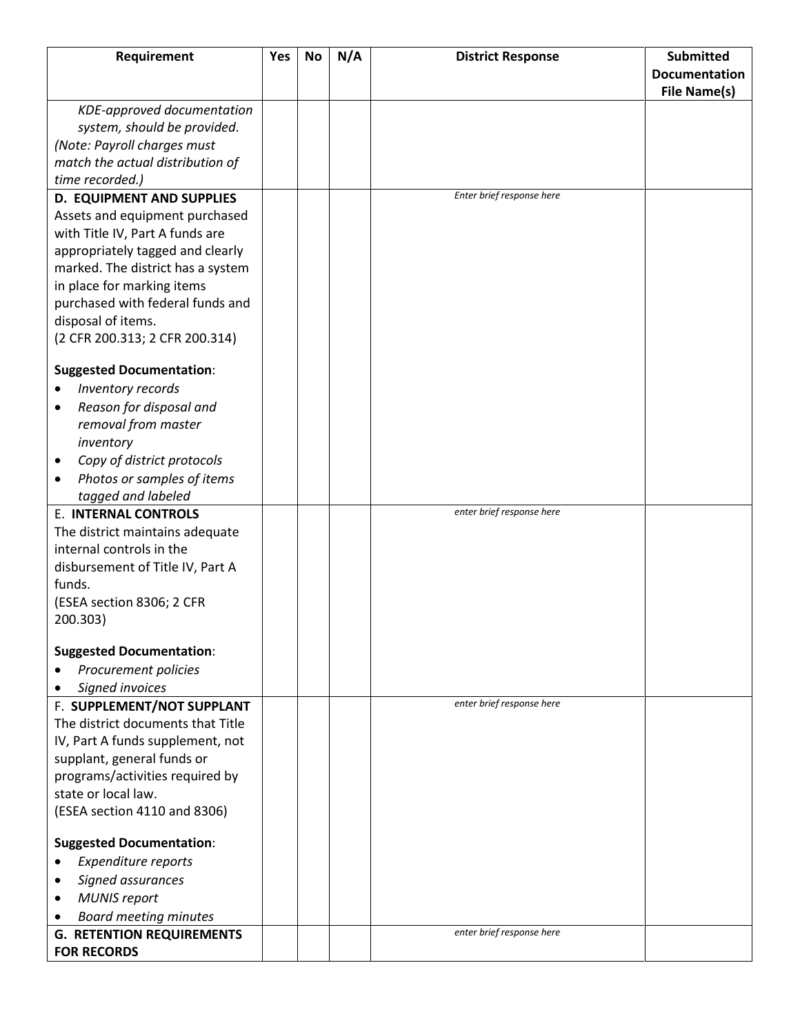| Requirement                       | Yes | No | N/A | <b>District Response</b>  | <b>Submitted</b>     |
|-----------------------------------|-----|----|-----|---------------------------|----------------------|
|                                   |     |    |     |                           | <b>Documentation</b> |
|                                   |     |    |     |                           | File Name(s)         |
| KDE-approved documentation        |     |    |     |                           |                      |
| system, should be provided.       |     |    |     |                           |                      |
| (Note: Payroll charges must       |     |    |     |                           |                      |
| match the actual distribution of  |     |    |     |                           |                      |
| time recorded.)                   |     |    |     |                           |                      |
| <b>D. EQUIPMENT AND SUPPLIES</b>  |     |    |     | Enter brief response here |                      |
| Assets and equipment purchased    |     |    |     |                           |                      |
| with Title IV, Part A funds are   |     |    |     |                           |                      |
| appropriately tagged and clearly  |     |    |     |                           |                      |
| marked. The district has a system |     |    |     |                           |                      |
| in place for marking items        |     |    |     |                           |                      |
| purchased with federal funds and  |     |    |     |                           |                      |
| disposal of items.                |     |    |     |                           |                      |
| (2 CFR 200.313; 2 CFR 200.314)    |     |    |     |                           |                      |
|                                   |     |    |     |                           |                      |
| <b>Suggested Documentation:</b>   |     |    |     |                           |                      |
| Inventory records                 |     |    |     |                           |                      |
| Reason for disposal and<br>٠      |     |    |     |                           |                      |
| removal from master               |     |    |     |                           |                      |
| inventory                         |     |    |     |                           |                      |
| Copy of district protocols        |     |    |     |                           |                      |
| Photos or samples of items        |     |    |     |                           |                      |
| tagged and labeled                |     |    |     |                           |                      |
| <b>E. INTERNAL CONTROLS</b>       |     |    |     | enter brief response here |                      |
| The district maintains adequate   |     |    |     |                           |                      |
| internal controls in the          |     |    |     |                           |                      |
| disbursement of Title IV, Part A  |     |    |     |                           |                      |
| funds.                            |     |    |     |                           |                      |
| (ESEA section 8306; 2 CFR         |     |    |     |                           |                      |
| 200.303)                          |     |    |     |                           |                      |
|                                   |     |    |     |                           |                      |
| <b>Suggested Documentation:</b>   |     |    |     |                           |                      |
| Procurement policies              |     |    |     |                           |                      |
| Signed invoices<br>$\bullet$      |     |    |     |                           |                      |
| F. SUPPLEMENT/NOT SUPPLANT        |     |    |     | enter brief response here |                      |
| The district documents that Title |     |    |     |                           |                      |
| IV, Part A funds supplement, not  |     |    |     |                           |                      |
| supplant, general funds or        |     |    |     |                           |                      |
| programs/activities required by   |     |    |     |                           |                      |
| state or local law.               |     |    |     |                           |                      |
| (ESEA section 4110 and 8306)      |     |    |     |                           |                      |
|                                   |     |    |     |                           |                      |
| <b>Suggested Documentation:</b>   |     |    |     |                           |                      |
| Expenditure reports               |     |    |     |                           |                      |
| Signed assurances                 |     |    |     |                           |                      |
| <b>MUNIS report</b>               |     |    |     |                           |                      |
| <b>Board meeting minutes</b>      |     |    |     |                           |                      |
| <b>G. RETENTION REQUIREMENTS</b>  |     |    |     | enter brief response here |                      |
| <b>FOR RECORDS</b>                |     |    |     |                           |                      |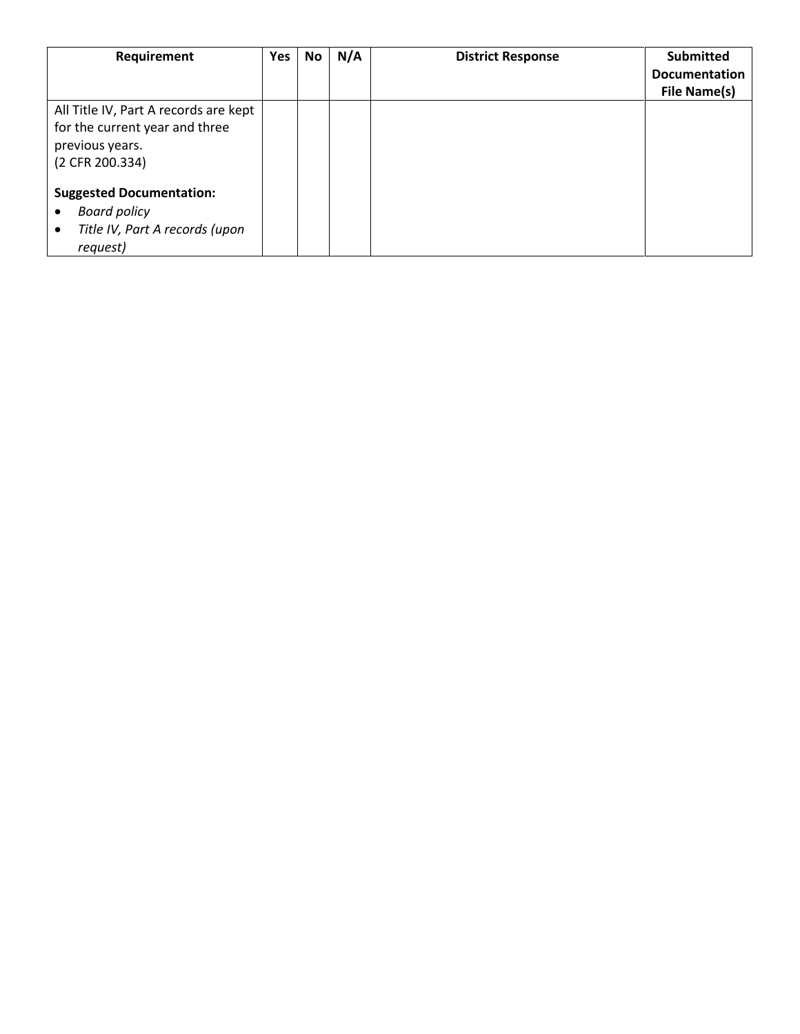| Requirement                           | <b>Yes</b> | No | N/A | <b>District Response</b> | <b>Submitted</b>     |
|---------------------------------------|------------|----|-----|--------------------------|----------------------|
|                                       |            |    |     |                          | <b>Documentation</b> |
|                                       |            |    |     |                          | File Name(s)         |
| All Title IV, Part A records are kept |            |    |     |                          |                      |
| for the current year and three        |            |    |     |                          |                      |
| previous years.                       |            |    |     |                          |                      |
| (2 CFR 200.334)                       |            |    |     |                          |                      |
| <b>Suggested Documentation:</b>       |            |    |     |                          |                      |
| <b>Board policy</b><br>٠              |            |    |     |                          |                      |
| Title IV, Part A records (upon<br>٠   |            |    |     |                          |                      |
| request)                              |            |    |     |                          |                      |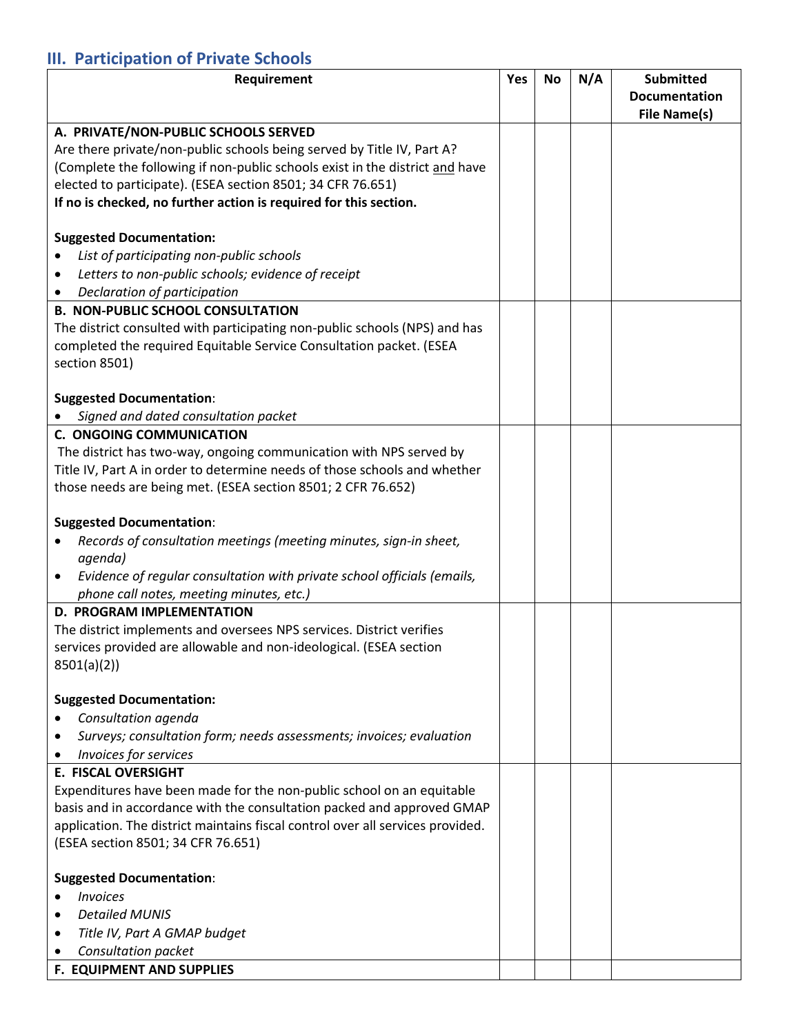## **III. Participation of Private Schools**

| Requirement                                                                    | Yes | <b>No</b> | N/A | <b>Submitted</b><br><b>Documentation</b> |
|--------------------------------------------------------------------------------|-----|-----------|-----|------------------------------------------|
|                                                                                |     |           |     | <b>File Name(s)</b>                      |
| A. PRIVATE/NON-PUBLIC SCHOOLS SERVED                                           |     |           |     |                                          |
| Are there private/non-public schools being served by Title IV, Part A?         |     |           |     |                                          |
| (Complete the following if non-public schools exist in the district and have   |     |           |     |                                          |
| elected to participate). (ESEA section 8501; 34 CFR 76.651)                    |     |           |     |                                          |
| If no is checked, no further action is required for this section.              |     |           |     |                                          |
|                                                                                |     |           |     |                                          |
| <b>Suggested Documentation:</b>                                                |     |           |     |                                          |
| List of participating non-public schools                                       |     |           |     |                                          |
| Letters to non-public schools; evidence of receipt<br>٠                        |     |           |     |                                          |
| Declaration of participation<br>٠                                              |     |           |     |                                          |
| <b>B. NON-PUBLIC SCHOOL CONSULTATION</b>                                       |     |           |     |                                          |
| The district consulted with participating non-public schools (NPS) and has     |     |           |     |                                          |
| completed the required Equitable Service Consultation packet. (ESEA            |     |           |     |                                          |
| section 8501)                                                                  |     |           |     |                                          |
|                                                                                |     |           |     |                                          |
| <b>Suggested Documentation:</b>                                                |     |           |     |                                          |
| Signed and dated consultation packet<br><b>C. ONGOING COMMUNICATION</b>        |     |           |     |                                          |
| The district has two-way, ongoing communication with NPS served by             |     |           |     |                                          |
| Title IV, Part A in order to determine needs of those schools and whether      |     |           |     |                                          |
| those needs are being met. (ESEA section 8501; 2 CFR 76.652)                   |     |           |     |                                          |
|                                                                                |     |           |     |                                          |
| <b>Suggested Documentation:</b>                                                |     |           |     |                                          |
| Records of consultation meetings (meeting minutes, sign-in sheet,              |     |           |     |                                          |
| agenda)                                                                        |     |           |     |                                          |
| Evidence of regular consultation with private school officials (emails,<br>٠   |     |           |     |                                          |
| phone call notes, meeting minutes, etc.)                                       |     |           |     |                                          |
| <b>D. PROGRAM IMPLEMENTATION</b>                                               |     |           |     |                                          |
| The district implements and oversees NPS services. District verifies           |     |           |     |                                          |
| services provided are allowable and non-ideological. (ESEA section             |     |           |     |                                          |
| 8501(a)(2)                                                                     |     |           |     |                                          |
|                                                                                |     |           |     |                                          |
| <b>Suggested Documentation:</b><br>Consultation agenda                         |     |           |     |                                          |
| Surveys; consultation form; needs assessments; invoices; evaluation            |     |           |     |                                          |
| Invoices for services                                                          |     |           |     |                                          |
| <b>E. FISCAL OVERSIGHT</b>                                                     |     |           |     |                                          |
| Expenditures have been made for the non-public school on an equitable          |     |           |     |                                          |
| basis and in accordance with the consultation packed and approved GMAP         |     |           |     |                                          |
| application. The district maintains fiscal control over all services provided. |     |           |     |                                          |
| (ESEA section 8501; 34 CFR 76.651)                                             |     |           |     |                                          |
|                                                                                |     |           |     |                                          |
| <b>Suggested Documentation:</b>                                                |     |           |     |                                          |
| <b>Invoices</b>                                                                |     |           |     |                                          |
| <b>Detailed MUNIS</b>                                                          |     |           |     |                                          |
| Title IV, Part A GMAP budget                                                   |     |           |     |                                          |
| Consultation packet                                                            |     |           |     |                                          |
| F. EQUIPMENT AND SUPPLIES                                                      |     |           |     |                                          |